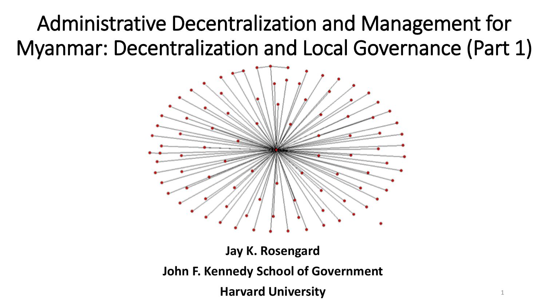Administrative Decentralization and Management for Myanmar: Decentralization and Local Governance (Part 1)



**Jay K. Rosengard John F. Kennedy School of Government Harvard University**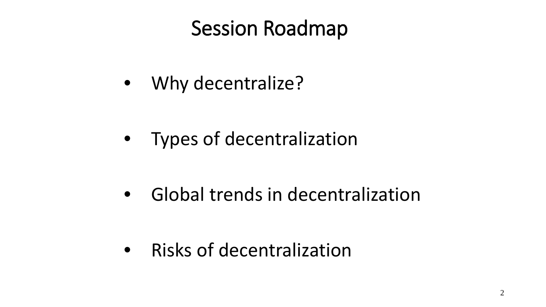## Session Roadmap

• Why decentralize?

• Types of decentralization

• Global trends in decentralization

• Risks of decentralization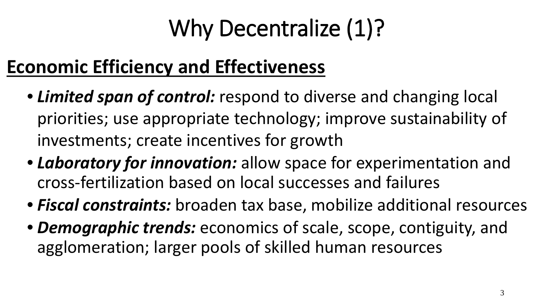# Why Decentralize (1)?

## **Economic Efficiency and Effectiveness**

- *Limited span of control:* respond to diverse and changing local priorities; use appropriate technology; improve sustainability of investments; create incentives for growth
- *Laboratory for innovation:* allow space for experimentation and cross-fertilization based on local successes and failures
- *Fiscal constraints:* broaden tax base, mobilize additional resources
- *Demographic trends:* economics of scale, scope, contiguity, and agglomeration; larger pools of skilled human resources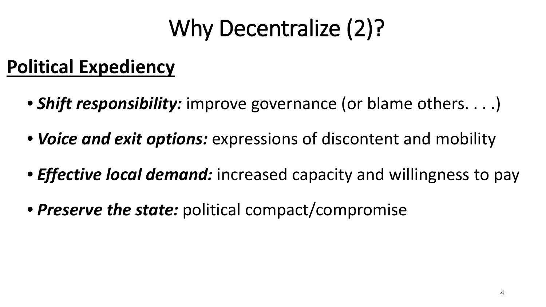# Why Decentralize (2)?

### **Political Expediency**

- *Shift responsibility:* improve governance (or blame others. . . .)
- *Voice and exit options:* expressions of discontent and mobility
- *Effective local demand:* increased capacity and willingness to pay
- *Preserve the state:* political compact/compromise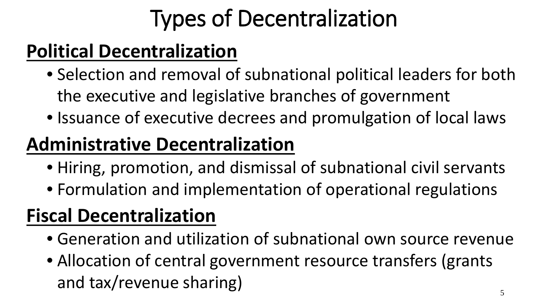# Types of Decentralization

### **Political Decentralization**

- Selection and removal of subnational political leaders for both the executive and legislative branches of government
- Issuance of executive decrees and promulgation of local laws

### **Administrative Decentralization**

- Hiring, promotion, and dismissal of subnational civil servants
- Formulation and implementation of operational regulations

### **Fiscal Decentralization**

- Generation and utilization of subnational own source revenue
- Allocation of central government resource transfers (grants and tax/revenue sharing)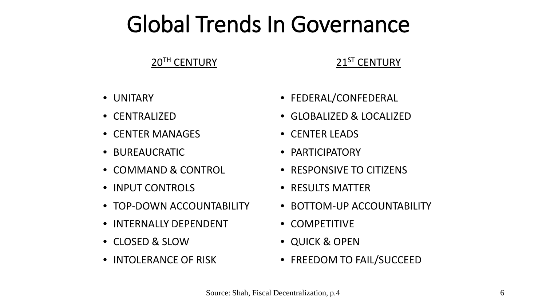## Global Trends In Governance

### 20<sup>TH</sup> CENTURY

### 21<sup>ST</sup> CENTURY

- UNITARY
- CENTRALIZED
- CENTER MANAGES
- BUREAUCRATIC
- COMMAND & CONTROL
- INPUT CONTROLS
- TOP-DOWN ACCOUNTABILITY
- INTERNALLY DEPENDENT
- CLOSED & SLOW
- INTOLERANCE OF RISK
- FEDERAL/CONFEDERAL
- GLOBALIZED & LOCALIZED
- CENTER LEADS
- PARTICIPATORY
- RESPONSIVE TO CITIZENS
- RESULTS MATTER
- BOTTOM-UP ACCOUNTABILITY
- COMPETITIVE
- QUICK & OPEN
- FREEDOM TO FAIL/SUCCEED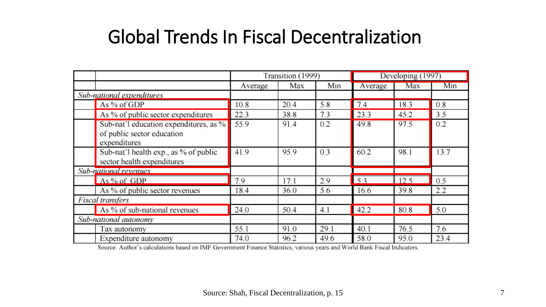### Global Trends In Fiscal Decentralization

|                           |                                        | Transition (1999) |      |      | Developing (1997) |      |      |
|---------------------------|----------------------------------------|-------------------|------|------|-------------------|------|------|
|                           |                                        | Average           | Max  | Min  | Average           | Max  | Min  |
| Sub-national expenditures |                                        |                   |      |      |                   |      |      |
|                           | As % of GDP                            | 10.8              | 20.4 | 5.8  | 7.4               | 18.3 | 0.8  |
|                           | As % of public sector expenditures     | 22.3              | 38.8 | 7.3  | 23.3              | 45.2 | 3.5  |
|                           | Sub-nat'l education expenditures, as % | 55.9              | 91.4 | 0.2  | 49.8              | 97.5 | 0.2  |
|                           | of public sector education             |                   |      |      |                   |      |      |
|                           | expenditures                           |                   |      |      |                   |      |      |
|                           | Sub-nat'l health exp., as % of public  | 41.9              | 95.9 | 0.3  | 60.2              | 98.1 | 13.7 |
|                           | sector health expenditures             |                   |      |      |                   |      |      |
| Sub-national revenues     |                                        |                   |      |      |                   |      |      |
|                           | As % of GDP                            | 7.9               | 17.1 | 2.9  | 53                | 12.5 | 0.5  |
|                           | As % of public sector revenues         | 18.4              | 36.0 | 5.6  | 16.6              | 39.8 | 2.2  |
| Fiscal transfers          |                                        |                   |      |      |                   |      |      |
|                           | As % of sub-national revenues          | 24.0              | 50.4 | 4.1  | 42.2              | 80.8 | 5.0  |
| Sub-national autonomy     |                                        |                   |      |      |                   |      |      |
|                           | Tax autonomy                           | 55.1              | 91.0 | 29.1 | 40.1              | 76.5 | 7.6  |
|                           | Expenditure autonomy                   | 74.0              | 96.2 | 49.6 | 58.0              | 95.0 | 23.4 |

Source: Author's calculations based on IMF Government Finance Statistics, various years and World Bank Fiscal Indicators.